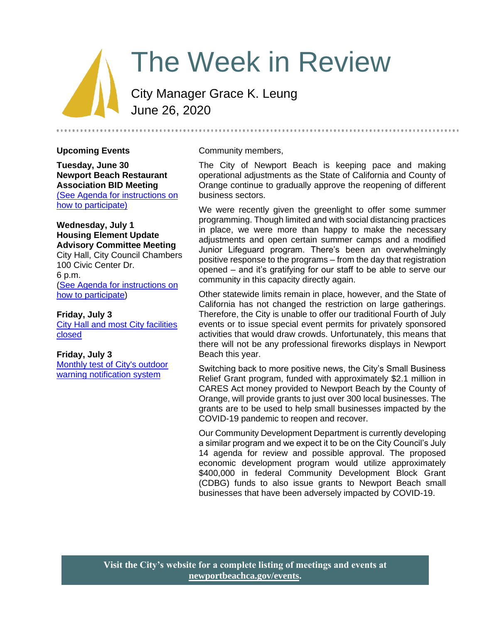# The Week in Review

City Manager Grace K. Leung June 26, 2020

### **Upcoming Events**

**Tuesday, June 30 Newport Beach Restaurant Association BID Meeting** [\(See Agenda for instructions on](https://newportbeach.legistar1.com/newportbeach/meetings/2020/6/2717_A_Newport_Beach_Restaurant_Assoc._Business_Improvement_District_20-06-30_BCC_Agenda.pdf?id=e1a6be55-bf8d-44c8-a1c0-47a42b8df1f0)  [how to participate\)](https://newportbeach.legistar1.com/newportbeach/meetings/2020/6/2717_A_Newport_Beach_Restaurant_Assoc._Business_Improvement_District_20-06-30_BCC_Agenda.pdf?id=e1a6be55-bf8d-44c8-a1c0-47a42b8df1f0)

#### **Wednesday, July 1 Housing Element Update Advisory Committee Meeting** City Hall, City Council Chambers

100 Civic Center Dr. 6 p.m. [\(See Agenda for instructions on](https://www.newportbeachca.gov/Pln/Housing_Element_Update_Advisory_Committee/current_agenda.pdf)  [how to participate\)](https://www.newportbeachca.gov/Pln/Housing_Element_Update_Advisory_Committee/current_agenda.pdf)

### **Friday, July 3**

**City Hall and most City facilities** [closed](https://www.newportbeachca.gov/Home/Components/Calendar/Event/63700/72?curm=7&cury=2020)

#### **Friday, July 3**

[Monthly test of City's outdoor](https://www.newportbeachca.gov/Home/Components/Calendar/Event/63481/72?curm=7&cury=2020)  [warning notification system](https://www.newportbeachca.gov/Home/Components/Calendar/Event/63481/72?curm=7&cury=2020)

#### Community members,

The City of Newport Beach is keeping pace and making operational adjustments as the State of California and County of Orange continue to gradually approve the reopening of different business sectors.

We were recently given the greenlight to offer some summer programming. Though limited and with social distancing practices in place, we were more than happy to make the necessary adjustments and open certain summer camps and a modified Junior Lifeguard program. There's been an overwhelmingly positive response to the programs – from the day that registration opened – and it's gratifying for our staff to be able to serve our community in this capacity directly again.

Other statewide limits remain in place, however, and the State of California has not changed the restriction on large gatherings. Therefore, the City is unable to offer our traditional Fourth of July events or to issue special event permits for privately sponsored activities that would draw crowds. Unfortunately, this means that there will not be any professional fireworks displays in Newport Beach this year.

Switching back to more positive news, the City's Small Business Relief Grant program, funded with approximately \$2.1 million in CARES Act money provided to Newport Beach by the County of Orange, will provide grants to just over 300 local businesses. The grants are to be used to help small businesses impacted by the COVID-19 pandemic to reopen and recover.

Our Community Development Department is currently developing a similar program and we expect it to be on the City Council's July 14 agenda for review and possible approval. The proposed economic development program would utilize approximately \$400,000 in federal Community Development Block Grant (CDBG) funds to also issue grants to Newport Beach small businesses that have been adversely impacted by COVID-19.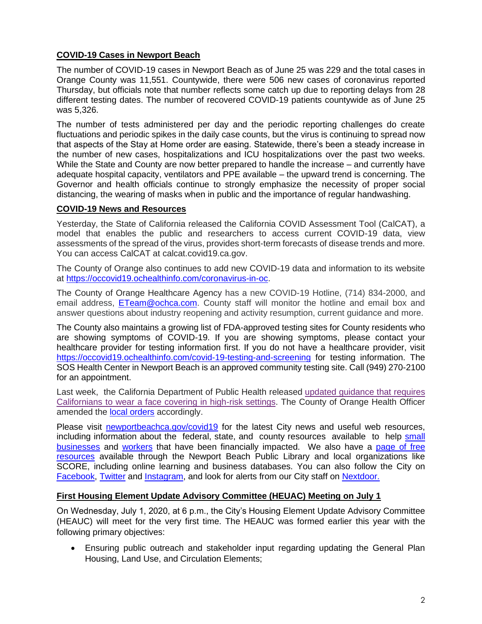## **COVID-19 Cases in Newport Beach**

The number of COVID-19 cases in Newport Beach as of June 25 was 229 and the total cases in Orange County was 11,551. Countywide, there were 506 new cases of coronavirus reported Thursday, but officials note that number reflects some catch up due to reporting delays from 28 different testing dates. The number of recovered COVID-19 patients countywide as of June 25 was 5,326.

The number of tests administered per day and the periodic reporting challenges do create fluctuations and periodic spikes in the daily case counts, but the virus is continuing to spread now that aspects of the Stay at Home order are easing. Statewide, there's been a steady increase in the number of new cases, hospitalizations and ICU hospitalizations over the past two weeks. While the State and County are now better prepared to handle the increase – and currently have adequate hospital capacity, ventilators and PPE available – the upward trend is concerning. The Governor and health officials continue to strongly emphasize the necessity of proper social distancing, the wearing of masks when in public and the importance of regular handwashing.

## **COVID-19 News and Resources**

Yesterday, the State of California released the California COVID Assessment Tool (CalCAT), a model that enables the public and researchers to access current COVID-19 data, view assessments of the spread of the virus, provides short-term forecasts of disease trends and more. You can access CalCAT at calcat.covid19.ca.gov.

The County of Orange also continues to add new COVID-19 data and information to its website at [https://occovid19.ochealthinfo.com/coronavirus-in-oc.](https://occovid19.ochealthinfo.com/coronavirus-in-oc)

The County of Orange Healthcare Agency has a new COVID-19 Hotline, (714) 834-2000, and email address, [ETeam@ochca.com.](mailto:ETeam@ochca.com) County staff will monitor the hotline and email box and answer questions about industry reopening and activity resumption, current guidance and more.

The County also maintains a growing list of FDA-approved testing sites for County residents who are showing symptoms of COVID-19. If you are showing symptoms, please contact your healthcare provider for testing information first. If you do not have a healthcare provider, visit <https://occovid19.ochealthinfo.com/covid-19-testing-and-screening> for testing information. The SOS Health Center in Newport Beach is an approved community testing site. Call (949) 270-2100 for an appointment.

Last week, the California Department of Public Health released [updated guidance that requires](https://www.cdph.ca.gov/Programs/CID/DCDC/CDPH%20Document%20Library/COVID-19/Guidance-for-Face-Coverings_06-18-2020.pdf)  [Californians to wear a face covering in high-risk settings.](https://www.cdph.ca.gov/Programs/CID/DCDC/CDPH%20Document%20Library/COVID-19/Guidance-for-Face-Coverings_06-18-2020.pdf) The County of Orange Health Officer amended the **local orders** accordingly.

Please visit [newportbeachca.gov/covid19](https://www.newportbeachca.gov/how-do-i/find/disaster-preparedness-information/disease-outbreak/-fsiteid-1) for the latest City news and useful web resources, including information about the federal, state, and county resources available to help small [businesses](https://www.newportbeachca.gov/government/departments/city-manager/economic-development/small-business-support) and [workers](https://www.newportbeachca.gov/government/departments/city-manager/economic-development/support-for-employees) that have been financially impacted. We also have a [page of free](https://www.newportbeachca.gov/government/departments/city-manager/economic-development/small-business-support/business-employee-resources)  [resources](https://www.newportbeachca.gov/government/departments/city-manager/economic-development/small-business-support/business-employee-resources) available through the Newport Beach Public Library and local organizations like SCORE, including online learning and business databases. You can also follow the City on [Facebook,](https://www.facebook.com/pg/CityofNewportBeach) [Twitter](https://twitter.com/newportbeachgov) and [Instagram,](https://www.instagram.com/cityofnewportbeach/) and look for alerts from our City staff on [Nextdoor.](https://nextdoor.com/agency/city-of-newport-beach/?i=ltdytbjdbdkntfqttgcm)

## **First Housing Element Update Advisory Committee (HEUAC) Meeting on July 1**

On Wednesday, July 1, 2020, at 6 p.m., the City's Housing Element Update Advisory Committee (HEAUC) will meet for the very first time. The HEAUC was formed earlier this year with the following primary objectives:

• Ensuring public outreach and stakeholder input regarding updating the General Plan Housing, Land Use, and Circulation Elements;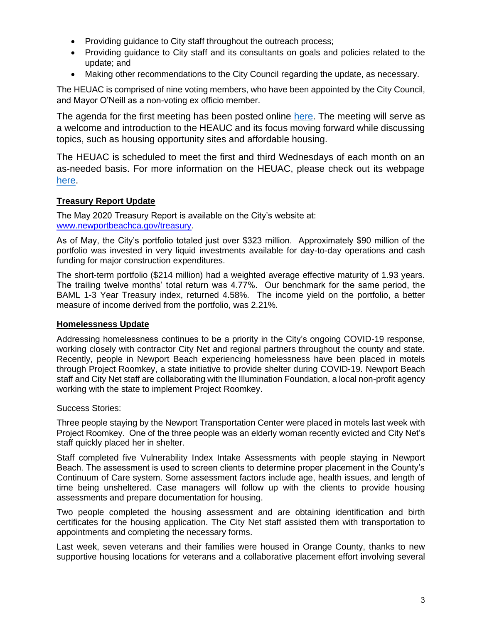- Providing guidance to City staff throughout the outreach process;
- Providing guidance to City staff and its consultants on goals and policies related to the update; and
- Making other recommendations to the City Council regarding the update, as necessary.

The HEUAC is comprised of nine voting members, who have been appointed by the City Council, and Mayor O'Neill as a non-voting ex officio member.

The agenda for the first meeting has been posted online [here.](https://www.newportbeachca.gov/Pln/Housing_Element_Update_Advisory_Committee/current_agenda.pdf) The meeting will serve as a welcome and introduction to the HEAUC and its focus moving forward while discussing topics, such as housing opportunity sites and affordable housing.

The HEUAC is scheduled to meet the first and third Wednesdays of each month on an as-needed basis. For more information on the HEUAC, please check out its webpage [here.](https://www.newportbeachca.gov/government/data-hub/agendas-minutes/housing-element-update-advisory-committee)

# **Treasury Report Update**

The May 2020 Treasury Report is available on the City's website at: [www.newportbeachca.gov/treasury.](http://www.newportbeachca.gov/treasury)

As of May, the City's portfolio totaled just over \$323 million. Approximately \$90 million of the portfolio was invested in very liquid investments available for day-to-day operations and cash funding for major construction expenditures.

The short-term portfolio (\$214 million) had a weighted average effective maturity of 1.93 years. The trailing twelve months' total return was 4.77%. Our benchmark for the same period, the BAML 1-3 Year Treasury index, returned 4.58%. The income yield on the portfolio, a better measure of income derived from the portfolio, was 2.21%.

## **Homelessness Update**

Addressing homelessness continues to be a priority in the City's ongoing COVID-19 response, working closely with contractor City Net and regional partners throughout the county and state. Recently, people in Newport Beach experiencing homelessness have been placed in motels through Project Roomkey, a state initiative to provide shelter during COVID-19. Newport Beach staff and City Net staff are collaborating with the Illumination Foundation, a local non-profit agency working with the state to implement Project Roomkey.

Success Stories:

Three people staying by the Newport Transportation Center were placed in motels last week with Project Roomkey. One of the three people was an elderly woman recently evicted and City Net's staff quickly placed her in shelter.

Staff completed five Vulnerability Index Intake Assessments with people staying in Newport Beach. The assessment is used to screen clients to determine proper placement in the County's Continuum of Care system. Some assessment factors include age, health issues, and length of time being unsheltered. Case managers will follow up with the clients to provide housing assessments and prepare documentation for housing.

Two people completed the housing assessment and are obtaining identification and birth certificates for the housing application. The City Net staff assisted them with transportation to appointments and completing the necessary forms.

Last week, seven veterans and their families were housed in Orange County, thanks to new supportive housing locations for veterans and a collaborative placement effort involving several